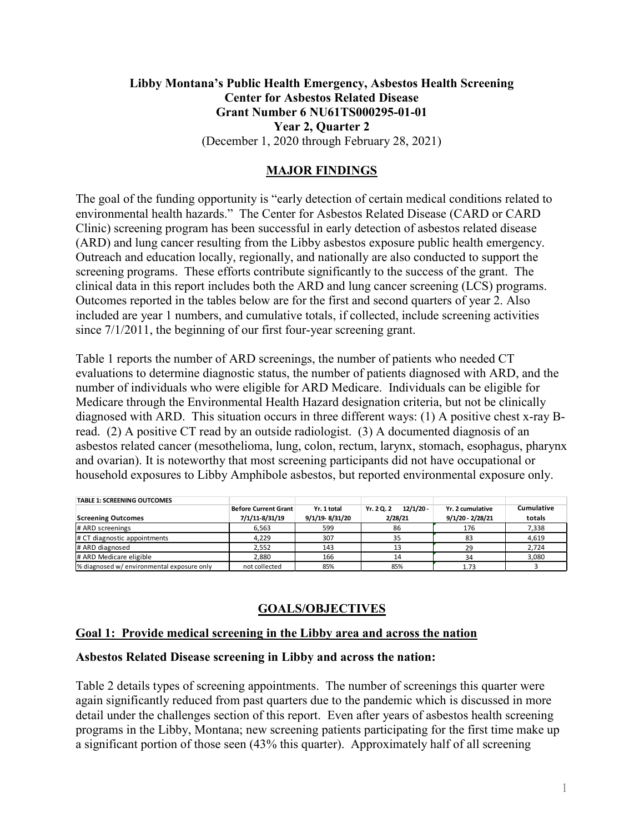# **Libby Montana's Public Health Emergency, Asbestos Health Screening Center for Asbestos Related Disease Grant Number 6 NU61TS000295-01-01 Year 2, Quarter 2** (December 1, 2020 through February 28, 2021)

# **MAJOR FINDINGS**

The goal of the funding opportunity is "early detection of certain medical conditions related to environmental health hazards." The Center for Asbestos Related Disease (CARD or CARD Clinic) screening program has been successful in early detection of asbestos related disease (ARD) and lung cancer resulting from the Libby asbestos exposure public health emergency. Outreach and education locally, regionally, and nationally are also conducted to support the screening programs. These efforts contribute significantly to the success of the grant. The clinical data in this report includes both the ARD and lung cancer screening (LCS) programs. Outcomes reported in the tables below are for the first and second quarters of year 2. Also included are year 1 numbers, and cumulative totals, if collected, include screening activities since 7/1/2011, the beginning of our first four-year screening grant.

Table 1 reports the number of ARD screenings, the number of patients who needed CT evaluations to determine diagnostic status, the number of patients diagnosed with ARD, and the number of individuals who were eligible for ARD Medicare. Individuals can be eligible for Medicare through the Environmental Health Hazard designation criteria, but not be clinically diagnosed with ARD. This situation occurs in three different ways: (1) A positive chest x-ray Bread. (2) A positive CT read by an outside radiologist. (3) A documented diagnosis of an asbestos related cancer (mesothelioma, lung, colon, rectum, larynx, stomach, esophagus, pharynx and ovarian). It is noteworthy that most screening participants did not have occupational or household exposures to Libby Amphibole asbestos, but reported environmental exposure only.

| <b>TABLE 1: SCREENING OUTCOMES</b>         |                             |                |                           |                    |            |
|--------------------------------------------|-----------------------------|----------------|---------------------------|--------------------|------------|
|                                            | <b>Before Current Grant</b> | Yr. 1 total    | $12/1/20 -$<br>Yr. 2 Q. 2 | Yr. 2 cumulative   | Cumulative |
| <b>Screening Outcomes</b>                  | 7/1/11-8/31/19              | 9/1/19-8/31/20 | 2/28/21                   | $9/1/20 - 2/28/21$ | totals     |
| # ARD screenings                           | 6,563                       | 599            | 86                        | 176                | 7,338      |
| # CT diagnostic appointments               | 4.229                       | 307            | 35                        | 83                 | 4,619      |
| # ARD diagnosed                            | 2.552                       | 143            | 13                        | 29                 | 2,724      |
| # ARD Medicare eligible                    | 2,880                       | 166            | 14                        | 34                 | 3,080      |
| % diagnosed w/ environmental exposure only | not collected               | 85%            | 85%                       | 1.73               |            |

# **GOALS/OBJECTIVES**

### **Goal 1: Provide medical screening in the Libby area and across the nation**

### **Asbestos Related Disease screening in Libby and across the nation:**

Table 2 details types of screening appointments. The number of screenings this quarter were again significantly reduced from past quarters due to the pandemic which is discussed in more detail under the challenges section of this report. Even after years of asbestos health screening programs in the Libby, Montana; new screening patients participating for the first time make up a significant portion of those seen (43% this quarter). Approximately half of all screening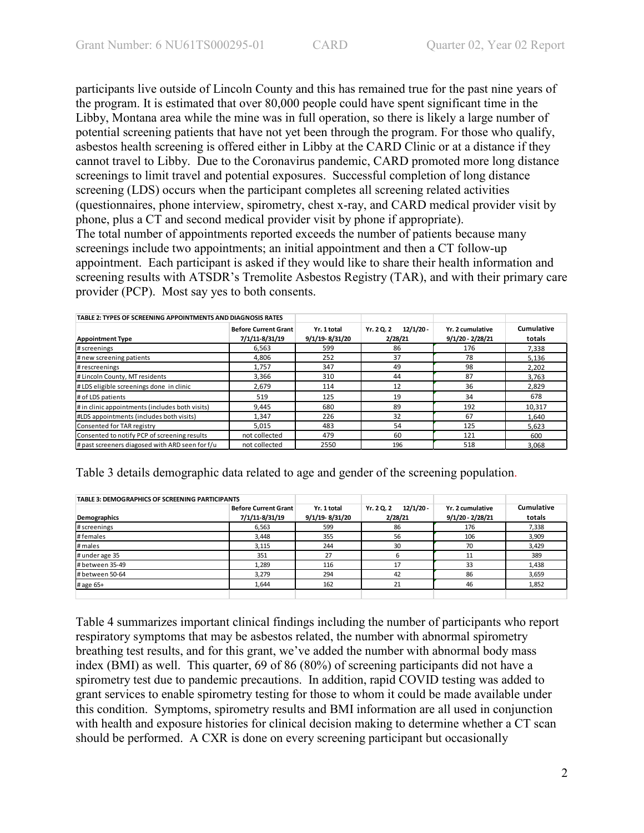participants live outside of Lincoln County and this has remained true for the past nine years of the program. It is estimated that over 80,000 people could have spent significant time in the Libby, Montana area while the mine was in full operation, so there is likely a large number of potential screening patients that have not yet been through the program. For those who qualify, asbestos health screening is offered either in Libby at the CARD Clinic or at a distance if they cannot travel to Libby. Due to the Coronavirus pandemic, CARD promoted more long distance screenings to limit travel and potential exposures. Successful completion of long distance screening (LDS) occurs when the participant completes all screening related activities (questionnaires, phone interview, spirometry, chest x-ray, and CARD medical provider visit by phone, plus a CT and second medical provider visit by phone if appropriate). The total number of appointments reported exceeds the number of patients because many screenings include two appointments; an initial appointment and then a CT follow-up appointment. Each participant is asked if they would like to share their health information and screening results with ATSDR's Tremolite Asbestos Registry (TAR), and with their primary care provider (PCP). Most say yes to both consents.

| TABLE 2: TYPES OF SCREENING APPOINTMENTS AND DIAGNOSIS RATES |                                               |                               |                                      |                                        |                      |
|--------------------------------------------------------------|-----------------------------------------------|-------------------------------|--------------------------------------|----------------------------------------|----------------------|
| <b>Appointment Type</b>                                      | <b>Before Current Grant</b><br>7/1/11-8/31/19 | Yr. 1 total<br>9/1/19-8/31/20 | $12/1/20 -$<br>Yr. 2 Q. 2<br>2/28/21 | Yr. 2 cumulative<br>$9/1/20 - 2/28/21$ | Cumulative<br>totals |
| # screenings                                                 | 6,563                                         | 599                           | 86                                   | 176                                    | 7,338                |
| # new screening patients                                     | 4.806                                         | 252                           | 37                                   | 78                                     | 5.136                |
| # rescreenings                                               | 1,757                                         | 347                           | 49                                   | 98                                     | 2,202                |
| # Lincoln County, MT residents                               | 3.366                                         | 310                           | 44                                   | 87                                     | 3.763                |
| #LDS eligible screenings done in clinic                      | 2.679                                         | 114                           | 12                                   | 36                                     | 2.829                |
| # of LDS patients                                            | 519                                           | 125                           | 19                                   | 34                                     | 678                  |
| # in clinic appointments (includes both visits)              | 9.445                                         | 680                           | 89                                   | 192                                    | 10,317               |
| #LDS appointments (includes both visits)                     | 1.347                                         | 226                           | 32                                   | 67                                     | 1.640                |
| Consented for TAR registry                                   | 5,015                                         | 483                           | 54                                   | 125                                    | 5.623                |
| Consented to notify PCP of screening results                 | not collected                                 | 479                           | 60                                   | 121                                    | 600                  |
| # past screeners diagosed with ARD seen for f/u              | not collected                                 | 2550                          | 196                                  | 518                                    | 3,068                |

Table 3 details demographic data related to age and gender of the screening population.

| TABLE 3: DEMOGRAPHICS OF SCREENING PARTICIPANTS |                             |                |                           |                    |                   |
|-------------------------------------------------|-----------------------------|----------------|---------------------------|--------------------|-------------------|
|                                                 | <b>Before Current Grant</b> | Yr. 1 total    | $12/1/20 -$<br>Yr. 2 Q. 2 | Yr. 2 cumulative   | <b>Cumulative</b> |
| Demographics                                    | 7/1/11-8/31/19              | 9/1/19-8/31/20 | 2/28/21                   | $9/1/20 - 2/28/21$ | totals            |
| # screenings                                    | 6,563                       | 599            | 86                        | 176                | 7,338             |
| #females                                        | 3,448                       | 355            | 56                        | 106                | 3,909             |
| # males                                         | 3,115                       | 244            | 30                        | 70                 | 3,429             |
| # under age 35                                  | 351                         | 27             | h                         | 11                 | 389               |
| # between 35-49                                 | 1,289                       | 116            | 17                        | 33                 | 1,438             |
| # between 50-64                                 | 3.279                       | 294            | 42                        | 86                 | 3,659             |
| # age 65+                                       | 1,644                       | 162            | 21                        | 46                 | 1,852             |
|                                                 |                             |                |                           |                    |                   |

Table 4 summarizes important clinical findings including the number of participants who report respiratory symptoms that may be asbestos related, the number with abnormal spirometry breathing test results, and for this grant, we've added the number with abnormal body mass index (BMI) as well. This quarter, 69 of 86 (80%) of screening participants did not have a spirometry test due to pandemic precautions. In addition, rapid COVID testing was added to grant services to enable spirometry testing for those to whom it could be made available under this condition. Symptoms, spirometry results and BMI information are all used in conjunction with health and exposure histories for clinical decision making to determine whether a CT scan should be performed. A CXR is done on every screening participant but occasionally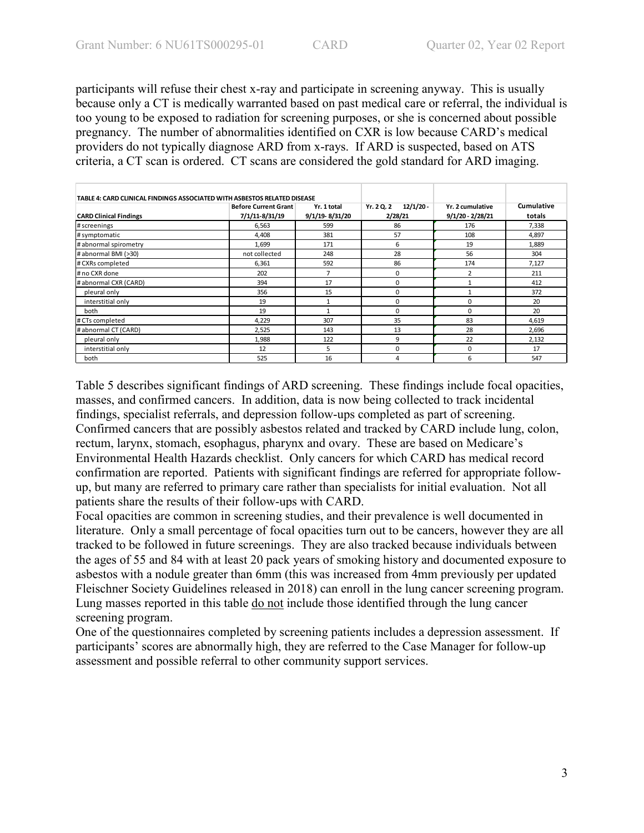participants will refuse their chest x-ray and participate in screening anyway. This is usually because only a CT is medically warranted based on past medical care or referral, the individual is too young to be exposed to radiation for screening purposes, or she is concerned about possible pregnancy. The number of abnormalities identified on CXR is low because CARD's medical providers do not typically diagnose ARD from x-rays. If ARD is suspected, based on ATS criteria, a CT scan is ordered. CT scans are considered the gold standard for ARD imaging.

| TABLE 4: CARD CLINICAL FINDINGS ASSOCIATED WITH ASBESTOS RELATED DISEASE |                                               |                               |                                      |                                        |                      |
|--------------------------------------------------------------------------|-----------------------------------------------|-------------------------------|--------------------------------------|----------------------------------------|----------------------|
| <b>CARD Clinical Findings</b>                                            | <b>Before Current Grant</b><br>7/1/11-8/31/19 | Yr. 1 total<br>9/1/19-8/31/20 | Yr. 2 Q. 2<br>$12/1/20 -$<br>2/28/21 | Yr. 2 cumulative<br>$9/1/20 - 2/28/21$ | Cumulative<br>totals |
| # screenings                                                             | 6,563                                         | 599                           | 86                                   | 176                                    | 7,338                |
| # symptomatic                                                            | 4,408                                         | 381                           | 57                                   | 108                                    | 4,897                |
| # abnormal spirometry                                                    | 1,699                                         | 171                           | 6                                    | 19                                     | 1,889                |
| # abnormal BMI (>30)                                                     | not collected                                 | 248                           | 28                                   | 56                                     | 304                  |
| # CXRs completed                                                         | 6,361                                         | 592                           | 86                                   | 174                                    | 7,127                |
| # no CXR done                                                            | 202                                           | $\overline{7}$                | 0                                    | 2                                      | 211                  |
| #abnormal CXR (CARD)                                                     | 394                                           | 17                            | 0                                    |                                        | 412                  |
| pleural only                                                             | 356                                           | 15                            | 0                                    |                                        | 372                  |
| interstitial only                                                        | 19                                            | 1                             | 0                                    | 0                                      | 20                   |
| both                                                                     | 19                                            | 1                             | 0                                    | $\mathbf 0$                            | 20                   |
| # CTs completed                                                          | 4,229                                         | 307                           | 35                                   | 83                                     | 4,619                |
| # abnormal CT (CARD)                                                     | 2,525                                         | 143                           | 13                                   | 28                                     | 2,696                |
| pleural only                                                             | 1,988                                         | 122                           | 9                                    | 22                                     | 2,132                |
| interstitial only                                                        | 12                                            | 5                             | 0                                    | 0                                      | 17                   |
| both                                                                     | 525                                           | 16                            | 4                                    | 6                                      | 547                  |

Table 5 describes significant findings of ARD screening. These findings include focal opacities, masses, and confirmed cancers. In addition, data is now being collected to track incidental findings, specialist referrals, and depression follow-ups completed as part of screening. Confirmed cancers that are possibly asbestos related and tracked by CARD include lung, colon, rectum, larynx, stomach, esophagus, pharynx and ovary. These are based on Medicare's Environmental Health Hazards checklist. Only cancers for which CARD has medical record confirmation are reported. Patients with significant findings are referred for appropriate followup, but many are referred to primary care rather than specialists for initial evaluation. Not all patients share the results of their follow-ups with CARD.

Focal opacities are common in screening studies, and their prevalence is well documented in literature. Only a small percentage of focal opacities turn out to be cancers, however they are all tracked to be followed in future screenings. They are also tracked because individuals between the ages of 55 and 84 with at least 20 pack years of smoking history and documented exposure to asbestos with a nodule greater than 6mm (this was increased from 4mm previously per updated Fleischner Society Guidelines released in 2018) can enroll in the lung cancer screening program. Lung masses reported in this table do not include those identified through the lung cancer screening program.

One of the questionnaires completed by screening patients includes a depression assessment. If participants' scores are abnormally high, they are referred to the Case Manager for follow-up assessment and possible referral to other community support services.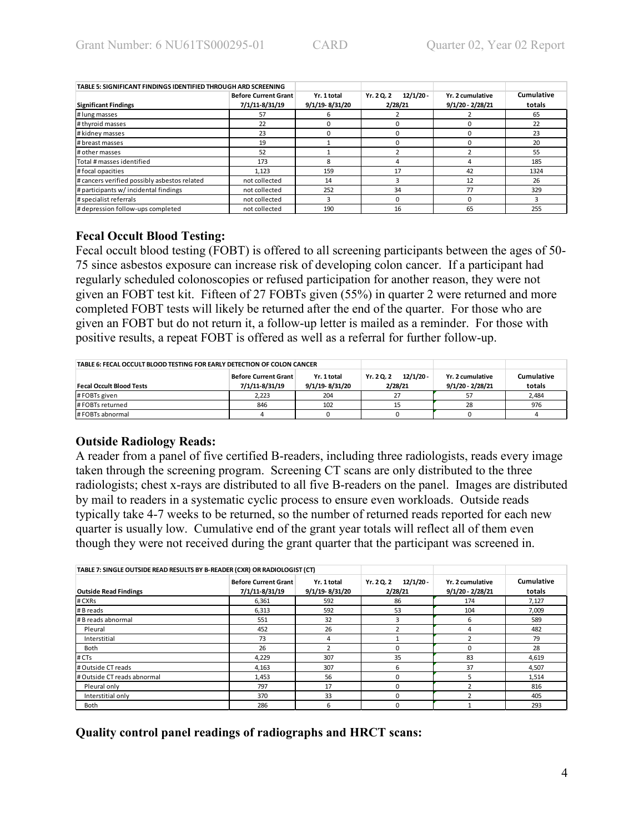| TABLE 5: SIGNIFICANT FINDINGS IDENTIFIED THROUGH ARD SCREENING |                             |                |                         |                    |            |
|----------------------------------------------------------------|-----------------------------|----------------|-------------------------|--------------------|------------|
|                                                                | <b>Before Current Grant</b> | Yr. 1 total    | $12/1/20 -$<br>Yr. 20.2 | Yr. 2 cumulative   | Cumulative |
| <b>Significant Findings</b>                                    | 7/1/11-8/31/19              | 9/1/19-8/31/20 | 2/28/21                 | $9/1/20 - 2/28/21$ | totals     |
| # lung masses                                                  | 57                          | 6              |                         |                    | 65         |
| # thyroid masses                                               | 22                          |                |                         |                    | 22         |
| # kidney masses                                                | 23                          | 0              |                         |                    | 23         |
| # breast masses                                                | 19                          |                |                         |                    | 20         |
| # other masses                                                 | 52                          |                |                         |                    | 55         |
| Total # masses identified                                      | 173                         | 8              |                         |                    | 185        |
| #focal opacities                                               | 1.123                       | 159            | 17                      | 42                 | 1324       |
| # cancers verified possibly asbestos related                   | not collected               | 14             |                         | 12                 | 26         |
| # participants w/ incidental findings                          | not collected               | 252            | 34                      | 77                 | 329        |
| # specialist referrals                                         | not collected               | 3              |                         |                    | 3          |
| # depression follow-ups completed                              | not collected               | 190            | 16                      | 65                 | 255        |

### **Fecal Occult Blood Testing:**

Fecal occult blood testing (FOBT) is offered to all screening participants between the ages of 50- 75 since asbestos exposure can increase risk of developing colon cancer. If a participant had regularly scheduled colonoscopies or refused participation for another reason, they were not given an FOBT test kit. Fifteen of 27 FOBTs given (55%) in quarter 2 were returned and more completed FOBT tests will likely be returned after the end of the quarter. For those who are given an FOBT but do not return it, a follow-up letter is mailed as a reminder. For those with positive results, a repeat FOBT is offered as well as a referral for further follow-up.

| TABLE 6: FECAL OCCULT BLOOD TESTING FOR EARLY DETECTION OF COLON CANCER |                                        |                               |                                      |                                      |                      |
|-------------------------------------------------------------------------|----------------------------------------|-------------------------------|--------------------------------------|--------------------------------------|----------------------|
| <b>Fecal Occult Blood Tests</b>                                         | Before Current Grant<br>7/1/11-8/31/19 | Yr. 1 total<br>9/1/19-8/31/20 | $12/1/20 -$<br>Yr. 2 Q. 2<br>2/28/21 | Yr. 2 cumulative<br>9/1/20 - 2/28/21 | Cumulative<br>totals |
| #FOBTs given                                                            | 2.223                                  | 204                           |                                      |                                      | 2,484                |
| #FOBTs returned                                                         | 846                                    | 102                           |                                      | 28                                   | 976                  |
| # FOBTs abnormal                                                        |                                        |                               |                                      |                                      |                      |

### **Outside Radiology Reads:**

A reader from a panel of five certified B-readers, including three radiologists, reads every image taken through the screening program. Screening CT scans are only distributed to the three radiologists; chest x-rays are distributed to all five B-readers on the panel. Images are distributed by mail to readers in a systematic cyclic process to ensure even workloads. Outside reads typically take 4-7 weeks to be returned, so the number of returned reads reported for each new quarter is usually low. Cumulative end of the grant year totals will reflect all of them even though they were not received during the grant quarter that the participant was screened in.

| TABLE 7: SINGLE OUTSIDE READ RESULTS BY B-READER (CXR) OR RADIOLOGIST (CT) |                                               |                               |                                      |                                        |                      |
|----------------------------------------------------------------------------|-----------------------------------------------|-------------------------------|--------------------------------------|----------------------------------------|----------------------|
| <b>Outside Read Findings</b>                                               | <b>Before Current Grant</b><br>7/1/11-8/31/19 | Yr. 1 total<br>9/1/19-8/31/20 | $12/1/20 -$<br>Yr. 2 Q. 2<br>2/28/21 | Yr. 2 cumulative<br>$9/1/20 - 2/28/21$ | Cumulative<br>totals |
| # CXRs                                                                     | 6,361                                         | 592                           | 86                                   | 174                                    | 7,127                |
| # B reads                                                                  | 6,313                                         | 592                           | 53                                   | 104                                    | 7,009                |
| # B reads abnormal                                                         | 551                                           | 32                            | ς                                    | 6                                      | 589                  |
| Pleural                                                                    | 452                                           | 26                            |                                      | 4                                      | 482                  |
| Interstitial                                                               | 73                                            | 4                             |                                      |                                        | 79                   |
| Both                                                                       | 26                                            | $\overline{ }$                | O                                    | 0                                      | 28                   |
| # CTs                                                                      | 4,229                                         | 307                           | 35                                   | 83                                     | 4,619                |
| # Outside CT reads                                                         | 4,163                                         | 307                           | 6                                    | 37                                     | 4,507                |
| # Outside CT reads abnormal                                                | 1,453                                         | 56                            | 0                                    | 5                                      | 1,514                |
| Pleural only                                                               | 797                                           | 17                            | 0                                    |                                        | 816                  |
| Interstitial only                                                          | 370                                           | 33                            | O                                    | n                                      | 405                  |
| <b>Both</b>                                                                | 286                                           | 6                             | 0                                    |                                        | 293                  |

**Quality control panel readings of radiographs and HRCT scans:**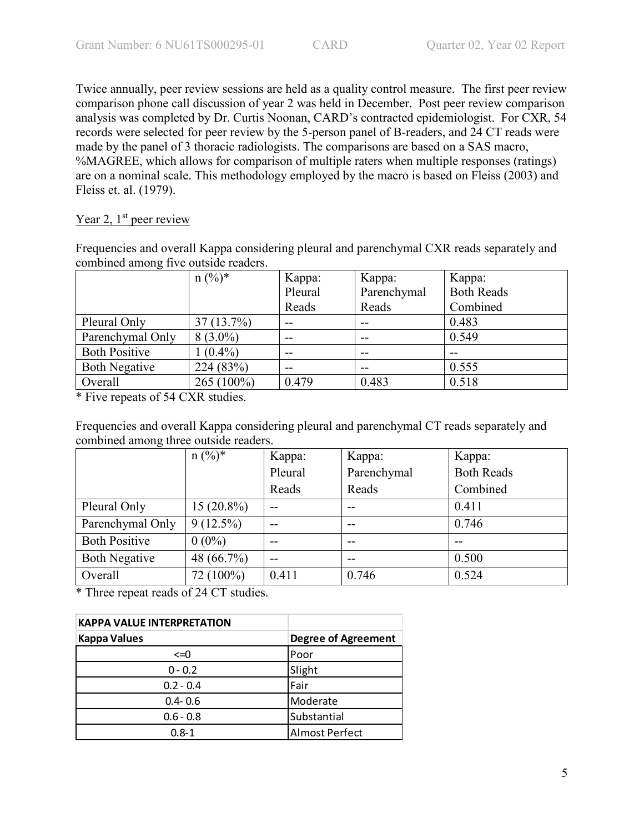Twice annually, peer review sessions are held as a quality control measure. The first peer review comparison phone call discussion of year 2 was held in December. Post peer review comparison analysis was completed by Dr. Curtis Noonan, CARD's contracted epidemiologist. For CXR, 54 records were selected for peer review by the 5-person panel of B-readers, and 24 CT reads were made by the panel of 3 thoracic radiologists. The comparisons are based on a SAS macro, %MAGREE, which allows for comparison of multiple raters when multiple responses (ratings) are on a nominal scale. This methodology employed by the macro is based on Fleiss (2003) and Fleiss et. al. (1979).

# Year 2,  $1<sup>st</sup>$  peer review

Frequencies and overall Kappa considering pleural and parenchymal CXR reads separately and combined among five outside readers.

|                      | $n (%)^*$  | Kappa:  | Kappa:      | Kappa:            |
|----------------------|------------|---------|-------------|-------------------|
|                      |            | Pleural | Parenchymal | <b>Both Reads</b> |
|                      |            | Reads   | Reads       | Combined          |
| Pleural Only         | 37(13.7%)  | --      |             | 0.483             |
| Parenchymal Only     | $8(3.0\%)$ | --      |             | 0.549             |
| <b>Both Positive</b> | $(0.4\%)$  | --      |             |                   |
| <b>Both Negative</b> | 224 (83%)  | --      |             | 0.555             |
| Overall              | 265 (100%) | 0.479   | 0.483       | 0.518             |

\* Five repeats of 54 CXR studies.

Frequencies and overall Kappa considering pleural and parenchymal CT reads separately and combined among three outside readers.

|                      | $n (%)^*$    | Kappa:  | Kappa:      | Kappa:            |
|----------------------|--------------|---------|-------------|-------------------|
|                      |              | Pleural | Parenchymal | <b>Both Reads</b> |
|                      |              | Reads   | Reads       | Combined          |
| Pleural Only         | $15(20.8\%)$ | $-$     | --          | 0.411             |
| Parenchymal Only     | $9(12.5\%)$  | $- -$   | --          | 0.746             |
| <b>Both Positive</b> | $0(0\%)$     | $- -$   | --          | --                |
| <b>Both Negative</b> | 48 (66.7%)   | --      | --          | 0.500             |
| Overall              | 72 (100%)    | 0.411   | 0.746       | 0.524             |

\* Three repeat reads of 24 CT studies.

| <b>KAPPA VALUE INTERPRETATION</b> |                            |
|-----------------------------------|----------------------------|
| <b>Kappa Values</b>               | <b>Degree of Agreement</b> |
| $\leq$ =0                         | Poor                       |
| $0 - 0.2$                         | Slight                     |
| $0.2 - 0.4$                       | Fair                       |
| $0.4 - 0.6$                       | Moderate                   |
| $0.6 - 0.8$                       | Substantial                |
| $0.8 - 1$                         | <b>Almost Perfect</b>      |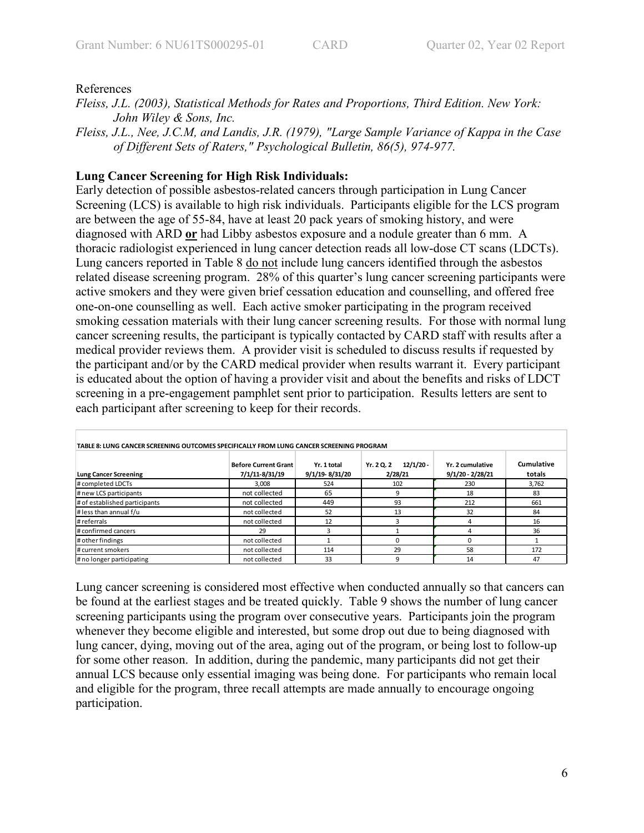## References

- *Fleiss, J.L. (2003), Statistical Methods for Rates and Proportions, Third Edition. New York: John Wiley & Sons, Inc.*
- *Fleiss, J.L., Nee, J.C.M, and Landis, J.R. (1979), "Large Sample Variance of Kappa in the Case of Different Sets of Raters," Psychological Bulletin, 86(5), 974-977.*

## **Lung Cancer Screening for High Risk Individuals:**

Early detection of possible asbestos-related cancers through participation in Lung Cancer Screening (LCS) is available to high risk individuals. Participants eligible for the LCS program are between the age of 55-84, have at least 20 pack years of smoking history, and were diagnosed with ARD **or** had Libby asbestos exposure and a nodule greater than 6 mm. A thoracic radiologist experienced in lung cancer detection reads all low-dose CT scans (LDCTs). Lung cancers reported in Table 8 do not include lung cancers identified through the asbestos related disease screening program. 28% of this quarter's lung cancer screening participants were active smokers and they were given brief cessation education and counselling, and offered free one-on-one counselling as well. Each active smoker participating in the program received smoking cessation materials with their lung cancer screening results. For those with normal lung cancer screening results, the participant is typically contacted by CARD staff with results after a medical provider reviews them. A provider visit is scheduled to discuss results if requested by the participant and/or by the CARD medical provider when results warrant it. Every participant is educated about the option of having a provider visit and about the benefits and risks of LDCT screening in a pre-engagement pamphlet sent prior to participation. Results letters are sent to each participant after screening to keep for their records.

| TABLE 8: LUNG CANCER SCREENING OUTCOMES SPECIFICALLY FROM LUNG CANCER SCREENING PROGRAM |                                               |                               |                                      |                                        |                      |
|-----------------------------------------------------------------------------------------|-----------------------------------------------|-------------------------------|--------------------------------------|----------------------------------------|----------------------|
| <b>Lung Cancer Screening</b>                                                            | <b>Before Current Grant</b><br>7/1/11-8/31/19 | Yr. 1 total<br>9/1/19-8/31/20 | $12/1/20 -$<br>Yr. 2 Q. 2<br>2/28/21 | Yr. 2 cumulative<br>$9/1/20 - 2/28/21$ | Cumulative<br>totals |
| # completed LDCTs                                                                       | 3.008                                         | 524                           | 102                                  | 230                                    | 3,762                |
| # new LCS participants                                                                  | not collected                                 | 65                            |                                      | 18                                     | 83                   |
| # of established participants                                                           | not collected                                 | 449                           | 93                                   | 212                                    | 661                  |
| # less than annual f/u                                                                  | not collected                                 | 52                            | 13                                   | 32                                     | 84                   |
| # referrals                                                                             | not collected                                 | 12                            |                                      | 4                                      | 16                   |
| # confirmed cancers                                                                     | 29                                            | ς                             |                                      |                                        | 36                   |
| # other findings                                                                        | not collected                                 |                               |                                      |                                        |                      |
| # current smokers                                                                       | not collected                                 | 114                           | 29                                   | 58                                     | 172                  |
| # no longer participating                                                               | not collected                                 | 33                            |                                      | 14                                     | 47                   |

Lung cancer screening is considered most effective when conducted annually so that cancers can be found at the earliest stages and be treated quickly. Table 9 shows the number of lung cancer screening participants using the program over consecutive years. Participants join the program whenever they become eligible and interested, but some drop out due to being diagnosed with lung cancer, dying, moving out of the area, aging out of the program, or being lost to follow-up for some other reason. In addition, during the pandemic, many participants did not get their annual LCS because only essential imaging was being done. For participants who remain local and eligible for the program, three recall attempts are made annually to encourage ongoing participation.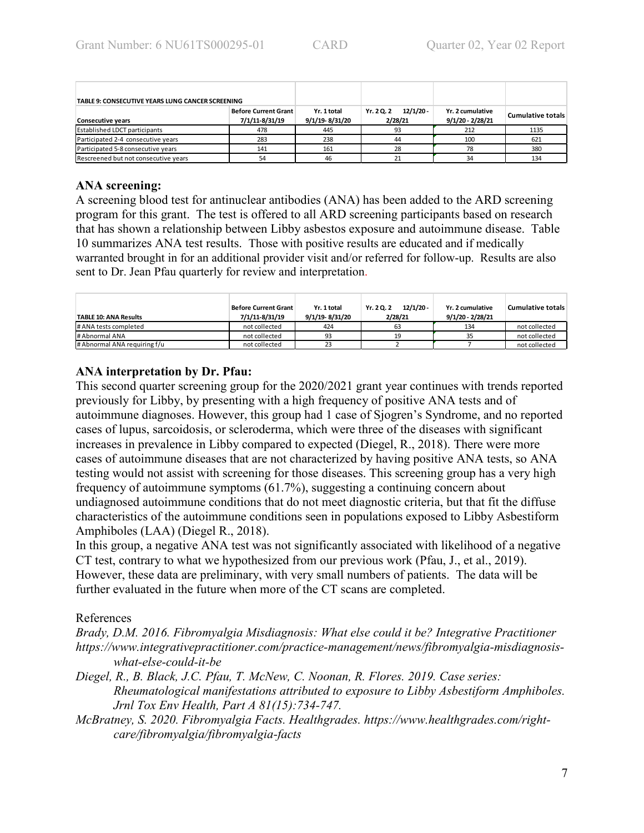| TABLE 9: CONSECUTIVE YEARS LUNG CANCER SCREENING |                                               |                               |                                      |                                        |                          |
|--------------------------------------------------|-----------------------------------------------|-------------------------------|--------------------------------------|----------------------------------------|--------------------------|
| <b>Consecutive years</b>                         | <b>Before Current Grant</b><br>7/1/11-8/31/19 | Yr. 1 total<br>9/1/19-8/31/20 | $12/1/20 -$<br>Yr. 2 Q. 2<br>2/28/21 | Yr. 2 cumulative<br>$9/1/20 - 2/28/21$ | <b>Cumulative totals</b> |
| <b>Established LDCT participants</b>             | 478                                           | 445                           | 93                                   | 212                                    | 1135                     |
| Participated 2-4 consecutive years               | 283                                           | 238                           | 44                                   | 100                                    | 621                      |
| Participated 5-8 consecutive years               | 141                                           | 161                           | 28                                   | 78                                     | 380                      |
| Rescreened but not consecutive years             | 54                                            | 46                            |                                      | 34                                     | 134                      |

# **ANA screening:**

A screening blood test for antinuclear antibodies (ANA) has been added to the ARD screening program for this grant. The test is offered to all ARD screening participants based on research that has shown a relationship between Libby asbestos exposure and autoimmune disease. Table 10 summarizes ANA test results. Those with positive results are educated and if medically warranted brought in for an additional provider visit and/or referred for follow-up. Results are also sent to Dr. Jean Pfau quarterly for review and interpretation.

| <b>TABLE 10: ANA Results</b> | Before Current Grant<br>7/1/11-8/31/19 | Yr. 1 total<br>9/1/19-8/31/20 | $12/1/20 -$<br>Yr. 2 Q. 2<br>2/28/21 | Yr. 2 cumulative<br>9/1/20 - 2/28/21 | Cumulative totals |
|------------------------------|----------------------------------------|-------------------------------|--------------------------------------|--------------------------------------|-------------------|
| # ANA tests completed        | not collected                          | 424                           | 63                                   | 134                                  | not collected     |
| # Abnormal ANA               | not collected                          | 93                            |                                      | 35                                   | not collected     |
| # Abnormal ANA requiring f/u | not collected                          | 23                            |                                      |                                      | not collected     |

# **ANA interpretation by Dr. Pfau:**

This second quarter screening group for the 2020/2021 grant year continues with trends reported previously for Libby, by presenting with a high frequency of positive ANA tests and of autoimmune diagnoses. However, this group had 1 case of Sjogren's Syndrome, and no reported cases of lupus, sarcoidosis, or scleroderma, which were three of the diseases with significant increases in prevalence in Libby compared to expected (Diegel, R., 2018). There were more cases of autoimmune diseases that are not characterized by having positive ANA tests, so ANA testing would not assist with screening for those diseases. This screening group has a very high frequency of autoimmune symptoms (61.7%), suggesting a continuing concern about undiagnosed autoimmune conditions that do not meet diagnostic criteria, but that fit the diffuse characteristics of the autoimmune conditions seen in populations exposed to Libby Asbestiform Amphiboles (LAA) (Diegel R., 2018).

In this group, a negative ANA test was not significantly associated with likelihood of a negative CT test, contrary to what we hypothesized from our previous work (Pfau, J., et al., 2019). However, these data are preliminary, with very small numbers of patients. The data will be further evaluated in the future when more of the CT scans are completed.

# References

*Brady, D.M. 2016. Fibromyalgia Misdiagnosis: What else could it be? Integrative Practitioner https://www.integrativepractitioner.com/practice-management/news/fibromyalgia-misdiagnosiswhat-else-could-it-be*

- *Diegel, R., B. Black, J.C. Pfau, T. McNew, C. Noonan, R. Flores. 2019. Case series: Rheumatological manifestations attributed to exposure to Libby Asbestiform Amphiboles. Jrnl Tox Env Health, Part A 81(15):734-747.*
- *McBratney, S. 2020. Fibromyalgia Facts. Healthgrades. https://www.healthgrades.com/rightcare/fibromyalgia/fibromyalgia-facts*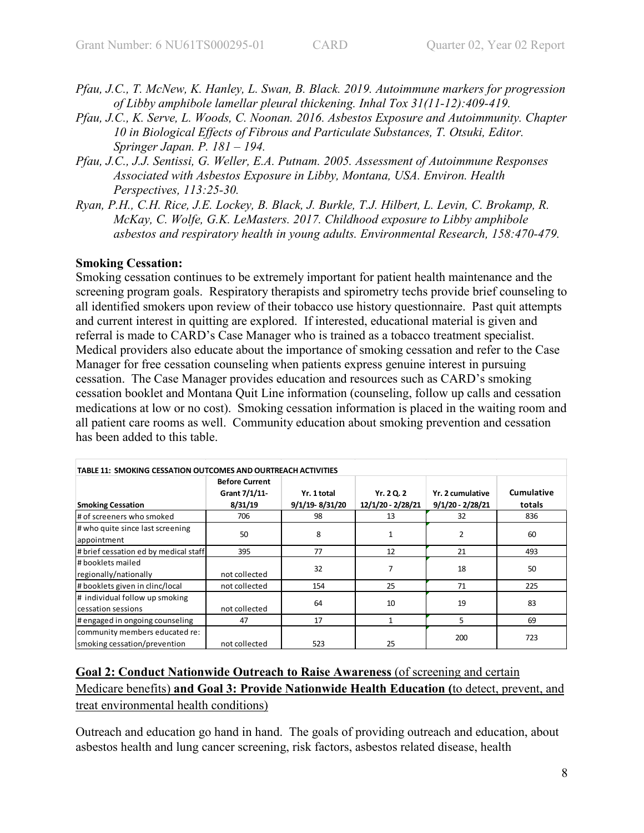- *Pfau, J.C., T. McNew, K. Hanley, L. Swan, B. Black. 2019. Autoimmune markers for progression of Libby amphibole lamellar pleural thickening. Inhal Tox 31(11-12):409-419.*
- *Pfau, J.C., K. Serve, L. Woods, C. Noonan. 2016. Asbestos Exposure and Autoimmunity. Chapter 10 in Biological Effects of Fibrous and Particulate Substances, T. Otsuki, Editor. Springer Japan. P. 181 – 194.*
- *Pfau, J.C., J.J. Sentissi, G. Weller, E.A. Putnam. 2005. Assessment of Autoimmune Responses Associated with Asbestos Exposure in Libby, Montana, USA. Environ. Health Perspectives, 113:25-30.*
- *Ryan, P.H., C.H. Rice, J.E. Lockey, B. Black, J. Burkle, T.J. Hilbert, L. Levin, C. Brokamp, R. McKay, C. Wolfe, G.K. LeMasters. 2017. Childhood exposure to Libby amphibole asbestos and respiratory health in young adults. Environmental Research, 158:470-479.*

## **Smoking Cessation:**

Smoking cessation continues to be extremely important for patient health maintenance and the screening program goals. Respiratory therapists and spirometry techs provide brief counseling to all identified smokers upon review of their tobacco use history questionnaire. Past quit attempts and current interest in quitting are explored. If interested, educational material is given and referral is made to CARD's Case Manager who is trained as a tobacco treatment specialist. Medical providers also educate about the importance of smoking cessation and refer to the Case Manager for free cessation counseling when patients express genuine interest in pursuing cessation. The Case Manager provides education and resources such as CARD's smoking cessation booklet and Montana Quit Line information (counseling, follow up calls and cessation medications at low or no cost). Smoking cessation information is placed in the waiting room and all patient care rooms as well. Community education about smoking prevention and cessation has been added to this table.

| TABLE 11: SMOKING CESSATION OUTCOMES AND OURTREACH ACTIVITIES  |                                                   |                               |                                 |                                        |                      |  |  |
|----------------------------------------------------------------|---------------------------------------------------|-------------------------------|---------------------------------|----------------------------------------|----------------------|--|--|
| <b>Smoking Cessation</b>                                       | <b>Before Current</b><br>Grant 7/1/11-<br>8/31/19 | Yr. 1 total<br>9/1/19-8/31/20 | Yr. 2 Q. 2<br>12/1/20 - 2/28/21 | Yr. 2 cumulative<br>$9/1/20 - 2/28/21$ | Cumulative<br>totals |  |  |
| # of screeners who smoked                                      | 706                                               | 98                            | 13                              | 32                                     | 836                  |  |  |
| # who quite since last screening<br>appointment                | 50                                                | 8                             | 1                               | 2                                      | 60                   |  |  |
| # brief cessation ed by medical staff                          | 395                                               | 77                            | 12                              | 21                                     | 493                  |  |  |
| l# booklets mailed<br>regionally/nationally                    | not collected                                     | 32                            |                                 | 18                                     | 50                   |  |  |
| #booklets given in clinc/local                                 | not collected                                     | 154                           | 25                              | 71                                     | 225                  |  |  |
| # individual follow up smoking<br>cessation sessions           | not collected                                     | 64                            | 10                              | 19                                     | 83                   |  |  |
| # engaged in ongoing counseling                                | 47                                                | 17                            | $\mathbf{1}$                    | 5                                      | 69                   |  |  |
| community members educated re:<br>smoking cessation/prevention | not collected                                     | 523                           | 25                              | 200                                    | 723                  |  |  |

# **Goal 2: Conduct Nationwide Outreach to Raise Awareness** (of screening and certain Medicare benefits) **and Goal 3: Provide Nationwide Health Education (**to detect, prevent, and treat environmental health conditions)

Outreach and education go hand in hand. The goals of providing outreach and education, about asbestos health and lung cancer screening, risk factors, asbestos related disease, health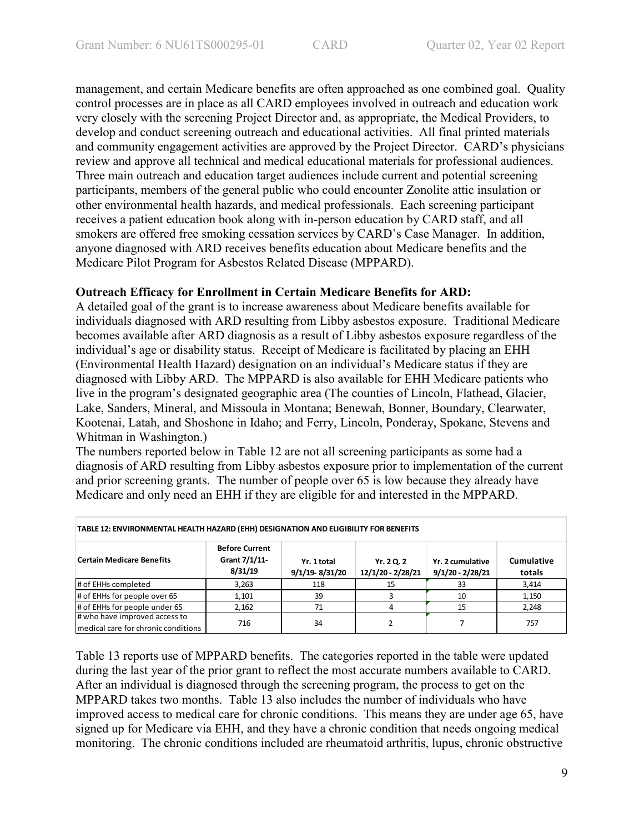management, and certain Medicare benefits are often approached as one combined goal. Quality control processes are in place as all CARD employees involved in outreach and education work very closely with the screening Project Director and, as appropriate, the Medical Providers, to develop and conduct screening outreach and educational activities. All final printed materials and community engagement activities are approved by the Project Director. CARD's physicians review and approve all technical and medical educational materials for professional audiences. Three main outreach and education target audiences include current and potential screening participants, members of the general public who could encounter Zonolite attic insulation or other environmental health hazards, and medical professionals. Each screening participant receives a patient education book along with in-person education by CARD staff, and all smokers are offered free smoking cessation services by CARD's Case Manager. In addition, anyone diagnosed with ARD receives benefits education about Medicare benefits and the Medicare Pilot Program for Asbestos Related Disease (MPPARD).

## **Outreach Efficacy for Enrollment in Certain Medicare Benefits for ARD:**

A detailed goal of the grant is to increase awareness about Medicare benefits available for individuals diagnosed with ARD resulting from Libby asbestos exposure. Traditional Medicare becomes available after ARD diagnosis as a result of Libby asbestos exposure regardless of the individual's age or disability status. Receipt of Medicare is facilitated by placing an EHH (Environmental Health Hazard) designation on an individual's Medicare status if they are diagnosed with Libby ARD. The MPPARD is also available for EHH Medicare patients who live in the program's designated geographic area (The counties of Lincoln, Flathead, Glacier, Lake, Sanders, Mineral, and Missoula in Montana; Benewah, Bonner, Boundary, Clearwater, Kootenai, Latah, and Shoshone in Idaho; and Ferry, Lincoln, Ponderay, Spokane, Stevens and Whitman in Washington.)

The numbers reported below in Table 12 are not all screening participants as some had a diagnosis of ARD resulting from Libby asbestos exposure prior to implementation of the current and prior screening grants. The number of people over 65 is low because they already have Medicare and only need an EHH if they are eligible for and interested in the MPPARD.

| TABLE 12: ENVIRONMENTAL HEALTH HAZARD (EHH) DESIGNATION AND ELIGIBILITY FOR BENEFITS |                                                   |                               |                                 |                                        |                      |  |  |
|--------------------------------------------------------------------------------------|---------------------------------------------------|-------------------------------|---------------------------------|----------------------------------------|----------------------|--|--|
| <b>Certain Medicare Benefits</b>                                                     | <b>Before Current</b><br>Grant 7/1/11-<br>8/31/19 | Yr. 1 total<br>9/1/19-8/31/20 | Yr. 2 Q. 2<br>12/1/20 - 2/28/21 | Yr. 2 cumulative<br>$9/1/20 - 2/28/21$ | Cumulative<br>totals |  |  |
| # of EHHs completed                                                                  | 3.263                                             | 118                           | 15                              | 33                                     | 3.414                |  |  |
| # of EHHs for people over 65                                                         | 1,101                                             | 39                            |                                 | 10                                     | 1,150                |  |  |
| # of EHHs for people under 65                                                        | 2.162                                             | 71                            |                                 | 15                                     | 2,248                |  |  |
| # who have improved access to<br>medical care for chronic conditions                 | 716                                               | 34                            |                                 |                                        | 757                  |  |  |

Table 13 reports use of MPPARD benefits. The categories reported in the table were updated during the last year of the prior grant to reflect the most accurate numbers available to CARD. After an individual is diagnosed through the screening program, the process to get on the MPPARD takes two months. Table 13 also includes the number of individuals who have improved access to medical care for chronic conditions. This means they are under age 65, have signed up for Medicare via EHH, and they have a chronic condition that needs ongoing medical monitoring. The chronic conditions included are rheumatoid arthritis, lupus, chronic obstructive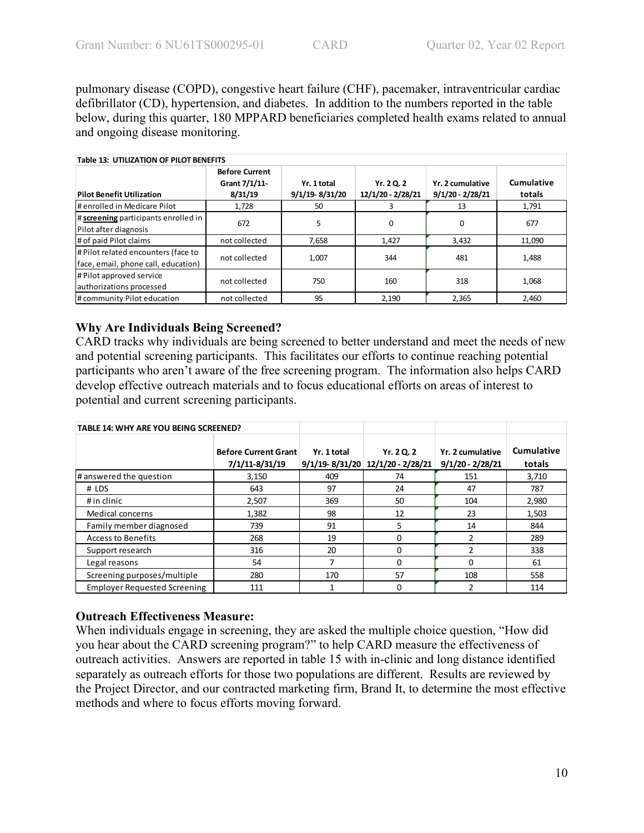pulmonary disease (COPD), congestive heart failure (CHF), pacemaker, intraventricular cardiac defibrillator (CD), hypertension, and diabetes. In addition to the numbers reported in the table below, during this quarter, 180 MPPARD beneficiaries completed health exams related to annual and ongoing disease monitoring.

| <b>Table 13: UTILIZATION OF PILOT BENEFITS</b>                             |                                                   |                               |                                 |                                        |                      |  |  |
|----------------------------------------------------------------------------|---------------------------------------------------|-------------------------------|---------------------------------|----------------------------------------|----------------------|--|--|
| <b>Pilot Benefit Utilization</b>                                           | <b>Before Current</b><br>Grant 7/1/11-<br>8/31/19 | Yr. 1 total<br>9/1/19-8/31/20 | Yr. 2 Q. 2<br>12/1/20 - 2/28/21 | Yr. 2 cumulative<br>$9/1/20 - 2/28/21$ | Cumulative<br>totals |  |  |
| # enrolled in Medicare Pilot                                               | 1,728                                             | 50                            | 3                               | 13                                     | 1,791                |  |  |
| # screening participants enrolled in<br>Pilot after diagnosis              | 672                                               | 5                             | 0                               | $\Omega$                               | 677                  |  |  |
| # of paid Pilot claims                                                     | not collected                                     | 7.658                         | 1,427                           | 3,432                                  | 11,090               |  |  |
| # Pilot related encounters (face to<br>face, email, phone call, education) | not collected                                     | 1,007                         | 344                             | 481                                    | 1,488                |  |  |
| # Pilot approved service<br>authorizations processed                       | not collected                                     | 750                           | 160                             | 318                                    | 1.068                |  |  |
| # community Pilot education                                                | not collected                                     | 95                            | 2,190                           | 2,365                                  | 2,460                |  |  |

# **Why Are Individuals Being Screened?**

CARD tracks why individuals are being screened to better understand and meet the needs of new and potential screening participants. This facilitates our efforts to continue reaching potential participants who aren't aware of the free screening program. The information also helps CARD develop effective outreach materials and to focus educational efforts on areas of interest to potential and current screening participants.

| <b>TABLE 14: WHY ARE YOU BEING SCREENED?</b> |                                               |             |                                                    |                                        |                      |
|----------------------------------------------|-----------------------------------------------|-------------|----------------------------------------------------|----------------------------------------|----------------------|
|                                              | <b>Before Current Grant</b><br>7/1/11-8/31/19 | Yr. 1 total | Yr. 2 Q. 2<br>$9/1/19 - 8/31/20$ 12/1/20 - 2/28/21 | Yr. 2 cumulative<br>$9/1/20 - 2/28/21$ | Cumulative<br>totals |
| # answered the question                      | 3,150                                         | 409         | 74                                                 | 151                                    | 3,710                |
| # LDS                                        | 643                                           | 97          | 24                                                 | 47                                     | 787                  |
| # in clinic                                  | 2,507                                         | 369         | 50                                                 | 104                                    | 2,980                |
| Medical concerns                             | 1,382                                         | 98          | 12                                                 | 23                                     | 1,503                |
| Family member diagnosed                      | 739                                           | 91          | 5                                                  | 14                                     | 844                  |
| <b>Access to Benefits</b>                    | 268                                           | 19          | $\Omega$                                           | 2                                      | 289                  |
| Support research                             | 316                                           | 20          | $\Omega$                                           | 2                                      | 338                  |
| Legal reasons                                | 54                                            | 7           | $\Omega$                                           | 0                                      | 61                   |
| Screening purposes/multiple                  | 280                                           | 170         | 57                                                 | 108                                    | 558                  |
| <b>Employer Requested Screening</b>          | 111                                           |             | 0                                                  | 2                                      | 114                  |

### **Outreach Effectiveness Measure:**

When individuals engage in screening, they are asked the multiple choice question, "How did you hear about the CARD screening program?" to help CARD measure the effectiveness of outreach activities. Answers are reported in table 15 with in-clinic and long distance identified separately as outreach efforts for those two populations are different. Results are reviewed by the Project Director, and our contracted marketing firm, Brand It, to determine the most effective methods and where to focus efforts moving forward.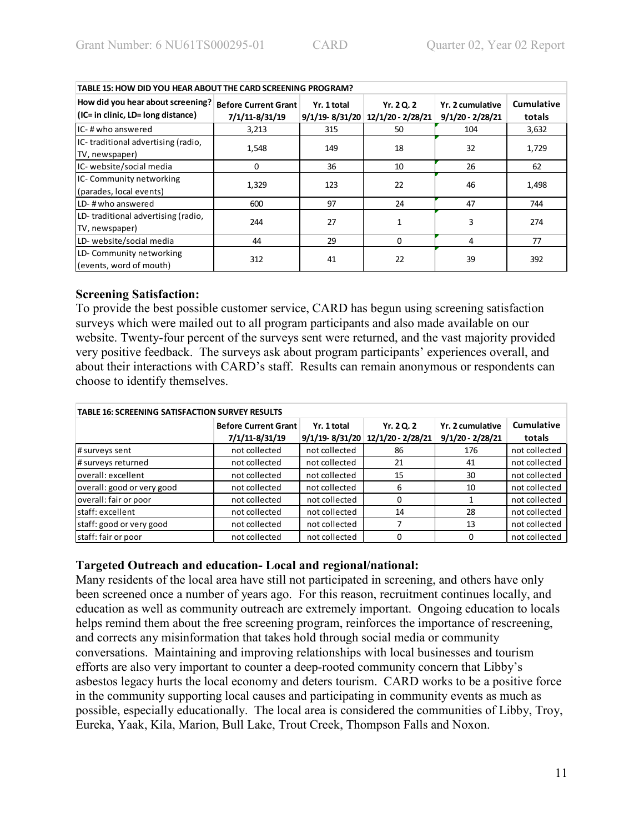| TABLE 15: HOW DID YOU HEAR ABOUT THE CARD SCREENING PROGRAM?                |                                               |                                   |                                 |                                        |                      |  |  |  |
|-----------------------------------------------------------------------------|-----------------------------------------------|-----------------------------------|---------------------------------|----------------------------------------|----------------------|--|--|--|
| How did you hear about screening?<br>$ $ (IC= in clinic, LD= long distance) | <b>Before Current Grant</b><br>7/1/11-8/31/19 | Yr. 1 total<br>$9/1/19 - 8/31/20$ | Yr. 2 Q. 2<br>12/1/20 - 2/28/21 | Yr. 2 cumulative<br>$9/1/20 - 2/28/21$ | Cumulative<br>totals |  |  |  |
| IC-# who answered                                                           | 3,213                                         | 315                               | 50                              | 104                                    | 3,632                |  |  |  |
| IC-traditional advertising (radio,<br>TV, newspaper)                        | 1,548                                         | 149                               | 18                              | 32                                     | 1,729                |  |  |  |
| IC- website/social media                                                    | 0                                             | 36                                | 10                              | 26                                     | 62                   |  |  |  |
| IC- Community networking<br>(parades, local events)                         | 1,329                                         | 123                               | 22                              | 46                                     | 1,498                |  |  |  |
| LD-# who answered                                                           | 600                                           | 97                                | 24                              | 47                                     | 744                  |  |  |  |
| LD-traditional advertising (radio,<br>TV, newspaper)                        | 244                                           | 27                                | 1                               | 3                                      | 274                  |  |  |  |
| LD- website/social media                                                    | 44                                            | 29                                | 0                               | 4                                      | 77                   |  |  |  |
| LD-Community networking<br>(events, word of mouth)                          | 312                                           | 41                                | 22                              | 39                                     | 392                  |  |  |  |

### **Screening Satisfaction:**

To provide the best possible customer service, CARD has begun using screening satisfaction surveys which were mailed out to all program participants and also made available on our website. Twenty-four percent of the surveys sent were returned, and the vast majority provided very positive feedback. The surveys ask about program participants' experiences overall, and about their interactions with CARD's staff. Results can remain anonymous or respondents can choose to identify themselves.

| <b>TABLE 16: SCREENING SATISFACTION SURVEY RESULTS</b> |                             |               |                                  |                    |               |  |  |  |
|--------------------------------------------------------|-----------------------------|---------------|----------------------------------|--------------------|---------------|--|--|--|
|                                                        | <b>Before Current Grant</b> | Yr. 1 total   | Yr. 2 Q. 2                       | Yr. 2 cumulative   | Cumulative    |  |  |  |
|                                                        | 7/1/11-8/31/19              |               | 9/1/19-8/31/20 12/1/20 - 2/28/21 | $9/1/20 - 2/28/21$ | totals        |  |  |  |
| # surveys sent                                         | not collected               | not collected | 86                               | 176                | not collected |  |  |  |
| # surveys returned                                     | not collected               | not collected | 21                               | 41                 | not collected |  |  |  |
| loverall: excellent                                    | not collected               | not collected | 15                               | 30                 | not collected |  |  |  |
| overall: good or very good                             | not collected               | not collected | 6                                | 10                 | not collected |  |  |  |
| overall: fair or poor                                  | not collected               | not collected | O                                |                    | not collected |  |  |  |
| lstaff: excellent                                      | not collected               | not collected | 14                               | 28                 | not collected |  |  |  |
| staff: good or very good                               | not collected               | not collected |                                  | 13                 | not collected |  |  |  |
| staff: fair or poor                                    | not collected               | not collected | O                                | 0                  | not collected |  |  |  |

### **Targeted Outreach and education- Local and regional/national:**

Many residents of the local area have still not participated in screening, and others have only been screened once a number of years ago. For this reason, recruitment continues locally, and education as well as community outreach are extremely important. Ongoing education to locals helps remind them about the free screening program, reinforces the importance of rescreening, and corrects any misinformation that takes hold through social media or community conversations. Maintaining and improving relationships with local businesses and tourism efforts are also very important to counter a deep-rooted community concern that Libby's asbestos legacy hurts the local economy and deters tourism. CARD works to be a positive force in the community supporting local causes and participating in community events as much as possible, especially educationally. The local area is considered the communities of Libby, Troy, Eureka, Yaak, Kila, Marion, Bull Lake, Trout Creek, Thompson Falls and Noxon.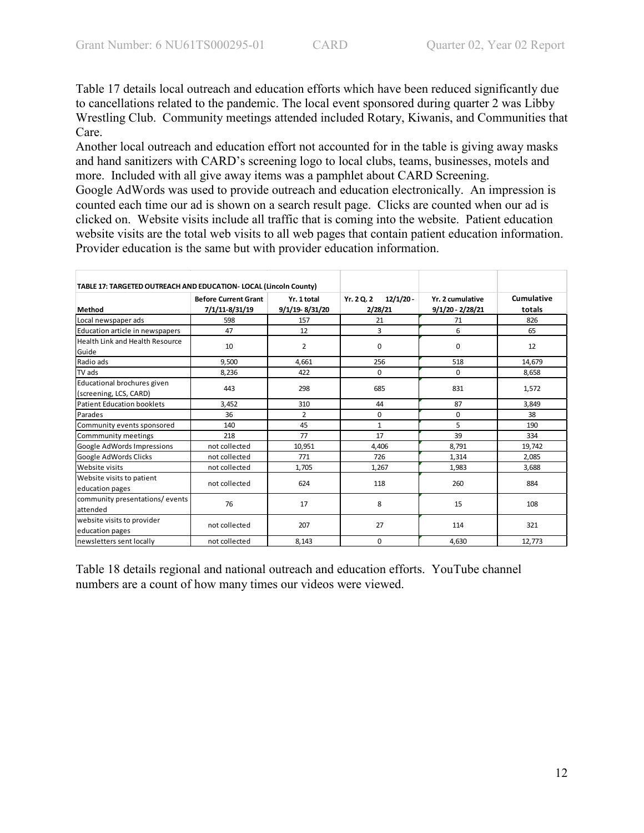Table 17 details local outreach and education efforts which have been reduced significantly due to cancellations related to the pandemic. The local event sponsored during quarter 2 was Libby Wrestling Club. Community meetings attended included Rotary, Kiwanis, and Communities that Care.

Another local outreach and education effort not accounted for in the table is giving away masks and hand sanitizers with CARD's screening logo to local clubs, teams, businesses, motels and more. Included with all give away items was a pamphlet about CARD Screening. Google AdWords was used to provide outreach and education electronically. An impression is

counted each time our ad is shown on a search result page. Clicks are counted when our ad is clicked on. Website visits include all traffic that is coming into the website. Patient education website visits are the total web visits to all web pages that contain patient education information. Provider education is the same but with provider education information.

| TABLE 17: TARGETED OUTREACH AND EDUCATION- LOCAL (Lincoln County) |                                               |                               |                                      |                                        |                      |
|-------------------------------------------------------------------|-----------------------------------------------|-------------------------------|--------------------------------------|----------------------------------------|----------------------|
| Method                                                            | <b>Before Current Grant</b><br>7/1/11-8/31/19 | Yr. 1 total<br>9/1/19-8/31/20 | $12/1/20 -$<br>Yr. 2 Q. 2<br>2/28/21 | Yr. 2 cumulative<br>$9/1/20 - 2/28/21$ | Cumulative<br>totals |
| Local newspaper ads                                               | 598                                           | 157                           | 21                                   | 71                                     | 826                  |
| Education article in newspapers                                   | 47                                            | 12                            | 3                                    | 6                                      | 65                   |
| Health Link and Health Resource<br>Guide                          | 10                                            | $\overline{2}$                | 0                                    | 0                                      | 12                   |
| Radio ads                                                         | 9,500                                         | 4,661                         | 256                                  | 518                                    | 14,679               |
| TV ads                                                            | 8,236                                         | 422                           | 0                                    | $\Omega$                               | 8,658                |
| Educational brochures given<br>(screening, LCS, CARD)             | 443                                           | 298                           | 685                                  | 831                                    | 1,572                |
| <b>Patient Education booklets</b>                                 | 3,452                                         | 310                           | 44                                   | 87                                     | 3,849                |
| Parades                                                           | 36                                            | $\mathcal{P}$                 | 0                                    | 0                                      | 38                   |
| Community events sponsored                                        | 140                                           | 45                            | $\mathbf{1}$                         | 5                                      | 190                  |
| Commmunity meetings                                               | 218                                           | 77                            | 17                                   | 39                                     | 334                  |
| Google AdWords Impressions                                        | not collected                                 | 10,951                        | 4,406                                | 8,791                                  | 19,742               |
| Google AdWords Clicks                                             | not collected                                 | 771                           | 726                                  | 1,314                                  | 2,085                |
| Website visits                                                    | not collected                                 | 1,705                         | 1,267                                | 1,983                                  | 3,688                |
| Website visits to patient<br>education pages                      | not collected                                 | 624                           | 118                                  | 260                                    | 884                  |
| community presentations/events<br>attended                        | 76                                            | 17                            | 8                                    | 15                                     | 108                  |
| website visits to provider<br>education pages                     | not collected                                 | 207                           | 27                                   | 114                                    | 321                  |
| newsletters sent locally                                          | not collected                                 | 8,143                         | 0                                    | 4,630                                  | 12,773               |

Table 18 details regional and national outreach and education efforts. YouTube channel numbers are a count of how many times our videos were viewed.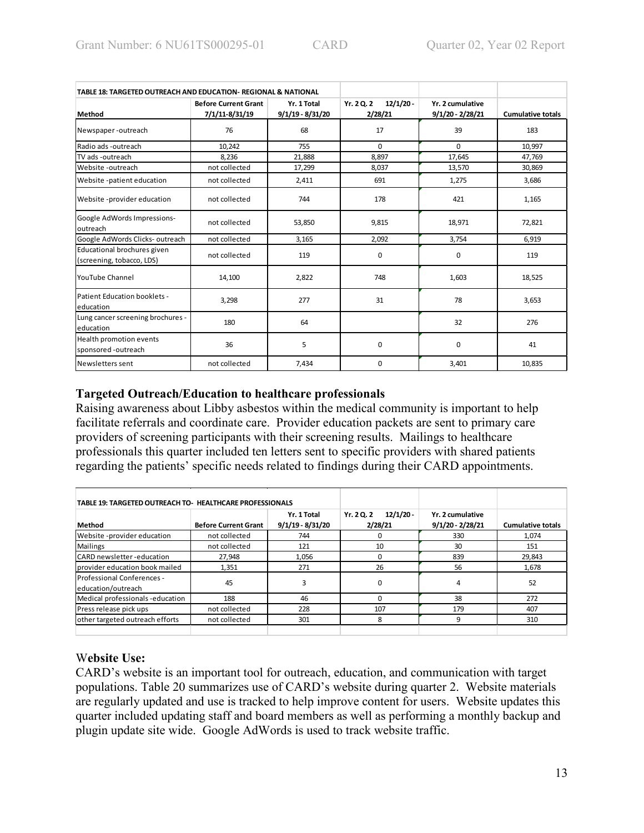| TABLE 18: TARGETED OUTREACH AND EDUCATION- REGIONAL & NATIONAL |                                               |                                 |                                      |                                        |                          |
|----------------------------------------------------------------|-----------------------------------------------|---------------------------------|--------------------------------------|----------------------------------------|--------------------------|
| Method                                                         | <b>Before Current Grant</b><br>7/1/11-8/31/19 | Yr. 1 Total<br>9/1/19 - 8/31/20 | $12/1/20 -$<br>Yr. 2 Q. 2<br>2/28/21 | Yr. 2 cumulative<br>$9/1/20 - 2/28/21$ | <b>Cumulative totals</b> |
| Newspaper-outreach                                             | 76                                            | 68                              | 17                                   | 39                                     | 183                      |
| Radio ads -outreach                                            | 10,242                                        | 755                             | $\Omega$                             | $\Omega$                               | 10,997                   |
| TV ads -outreach                                               | 8,236                                         | 21,888                          | 8,897                                | 17,645                                 | 47,769                   |
| Website -outreach                                              | not collected                                 | 17,299                          | 8,037                                | 13,570                                 | 30,869                   |
| Website -patient education                                     | not collected                                 | 2,411                           | 691                                  | 1,275                                  | 3,686                    |
| Website -provider education                                    | not collected                                 | 744                             | 178                                  | 421                                    | 1,165                    |
| Google AdWords Impressions-<br>outreach                        | not collected                                 | 53,850                          | 9,815                                | 18,971                                 | 72.821                   |
| Google AdWords Clicks-outreach                                 | not collected                                 | 3,165                           | 2,092                                | 3,754                                  | 6,919                    |
| Educational brochures given<br>(screening, tobacco, LDS)       | not collected                                 | 119                             | 0                                    | 0                                      | 119                      |
| <b>YouTube Channel</b>                                         | 14,100                                        | 2,822                           | 748                                  | 1,603                                  | 18,525                   |
| Patient Education booklets -<br>education                      | 3,298                                         | 277                             | 31                                   | 78                                     | 3,653                    |
| Lung cancer screening brochures -<br>education                 | 180                                           | 64                              |                                      | 32                                     | 276                      |
| Health promotion events<br>sponsored -outreach                 | 36                                            | 5                               | 0                                    | 0                                      | 41                       |
| Newsletters sent                                               | not collected                                 | 7,434                           | 0                                    | 3,401                                  | 10,835                   |

## **Targeted Outreach/Education to healthcare professionals**

Raising awareness about Libby asbestos within the medical community is important to help facilitate referrals and coordinate care. Provider education packets are sent to primary care providers of screening participants with their screening results. Mailings to healthcare professionals this quarter included ten letters sent to specific providers with shared patients regarding the patients' specific needs related to findings during their CARD appointments.

| <b>TABLE 19: TARGETED OUTREACH TO- HEALTHCARE PROFESSIONALS</b> |                             |                                   |                                      |                                      |                          |
|-----------------------------------------------------------------|-----------------------------|-----------------------------------|--------------------------------------|--------------------------------------|--------------------------|
| Method                                                          | <b>Before Current Grant</b> | Yr. 1 Total<br>$9/1/19 - 8/31/20$ | Yr. 2 Q. 2<br>$12/1/20 -$<br>2/28/21 | Yr. 2 cumulative<br>9/1/20 - 2/28/21 | <b>Cumulative totals</b> |
| Website-provider education                                      | not collected               | 744                               | 0                                    | 330                                  | 1,074                    |
| <b>Mailings</b>                                                 | not collected               | 121                               | 10                                   | 30                                   | 151                      |
| <b>ICARD</b> newsletter-education                               | 27,948                      | 1,056                             | 0                                    | 839                                  | 29,843                   |
| provider education book mailed                                  | 1,351                       | 271                               | 26                                   | 56                                   | 1,678                    |
| Professional Conferences -<br>education/outreach                | 45                          | 3                                 | 0                                    |                                      | 52                       |
| Medical professionals -education                                | 188                         | 46                                | $\Omega$                             | 38                                   | 272                      |
| Press release pick ups                                          | not collected               | 228                               | 107                                  | 179                                  | 407                      |
| other targeted outreach efforts                                 | not collected               | 301                               | 8                                    | 9                                    | 310                      |

# W**ebsite Use:**

CARD's website is an important tool for outreach, education, and communication with target populations. Table 20 summarizes use of CARD's website during quarter 2. Website materials are regularly updated and use is tracked to help improve content for users. Website updates this quarter included updating staff and board members as well as performing a monthly backup and plugin update site wide. Google AdWords is used to track website traffic.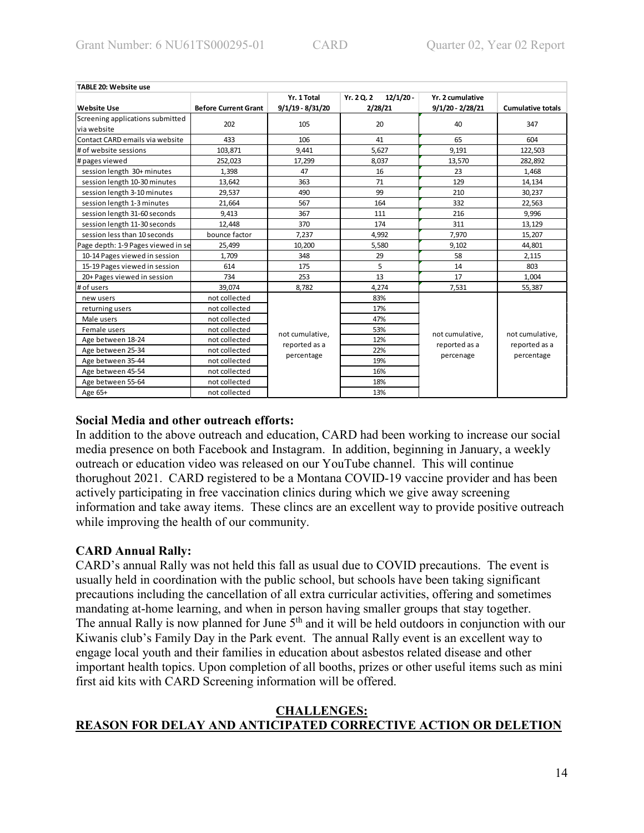| TABLE 20: Website use              |                             |                    |                           |                    |                          |
|------------------------------------|-----------------------------|--------------------|---------------------------|--------------------|--------------------------|
|                                    |                             | Yr. 1 Total        | $12/1/20 -$<br>Yr. 2 Q. 2 | Yr. 2 cumulative   |                          |
| <b>Website Use</b>                 | <b>Before Current Grant</b> | $9/1/19 - 8/31/20$ | 2/28/21                   | $9/1/20 - 2/28/21$ | <b>Cumulative totals</b> |
| Screening applications submitted   | 202                         | 105                | 20                        | 40                 | 347                      |
| via website                        |                             |                    |                           |                    |                          |
| Contact CARD emails via website    | 433                         | 106                | 41                        | 65                 | 604                      |
| # of website sessions              | 103,871                     | 9.441              | 5.627                     | 9,191              | 122,503                  |
| # pages viewed                     | 252,023                     | 17,299             | 8,037                     | 13,570             | 282,892                  |
| session length 30+ minutes         | 1,398                       | 47                 | 16                        | 23                 | 1,468                    |
| session length 10-30 minutes       | 13,642                      | 363                | 71                        | 129                | 14,134                   |
| session length 3-10 minutes        | 29,537                      | 490                | 99                        | 210                | 30,237                   |
| session length 1-3 minutes         | 21,664                      | 567                | 164                       | 332                | 22,563                   |
| session length 31-60 seconds       | 9,413                       | 367                | 111                       | 216                | 9,996                    |
| session length 11-30 seconds       | 12,448                      | 370                | 174                       | 311                | 13,129                   |
| session less than 10 seconds       | bounce factor               | 7,237              | 4,992                     | 7,970              | 15,207                   |
| Page depth: 1-9 Pages viewed in se | 25,499                      | 10,200             | 5,580                     | 9,102              | 44,801                   |
| 10-14 Pages viewed in session      | 1,709                       | 348                | 29                        | 58                 | 2,115                    |
| 15-19 Pages viewed in session      | 614                         | 175                | 5                         | 14                 | 803                      |
| 20+ Pages viewed in session        | 734                         | 253                | 13                        | 17                 | 1,004                    |
| # of users                         | 39.074                      | 8,782              | 4,274                     | 7,531              | 55,387                   |
| new users                          | not collected               |                    | 83%                       |                    |                          |
| returning users                    | not collected               |                    | 17%                       |                    |                          |
| Male users                         | not collected               |                    | 47%                       |                    |                          |
| Female users                       | not collected               | not cumulative,    | 53%                       | not cumulative,    | not cumulative.          |
| Age between 18-24                  | not collected               | reported as a      | 12%                       | reported as a      | reported as a            |
| Age between 25-34                  | not collected               |                    | 22%                       |                    | percentage               |
| Age between 35-44                  | not collected               | percentage         | 19%                       | percenage          |                          |
| Age between 45-54                  | not collected               |                    | 16%                       |                    |                          |
| Age between 55-64                  | not collected               |                    | 18%                       |                    |                          |
| Age 65+                            | not collected               |                    | 13%                       |                    |                          |

## **Social Media and other outreach efforts:**

In addition to the above outreach and education, CARD had been working to increase our social media presence on both Facebook and Instagram. In addition, beginning in January, a weekly outreach or education video was released on our YouTube channel. This will continue thorughout 2021. CARD registered to be a Montana COVID-19 vaccine provider and has been actively participating in free vaccination clinics during which we give away screening information and take away items. These clincs are an excellent way to provide positive outreach while improving the health of our community.

# **CARD Annual Rally:**

CARD's annual Rally was not held this fall as usual due to COVID precautions. The event is usually held in coordination with the public school, but schools have been taking significant precautions including the cancellation of all extra curricular activities, offering and sometimes mandating at-home learning, and when in person having smaller groups that stay together. The annual Rally is now planned for June  $5<sup>th</sup>$  and it will be held outdoors in conjunction with our Kiwanis club's Family Day in the Park event. The annual Rally event is an excellent way to engage local youth and their families in education about asbestos related disease and other important health topics. Upon completion of all booths, prizes or other useful items such as mini first aid kits with CARD Screening information will be offered.

## **CHALLENGES: REASON FOR DELAY AND ANTICIPATED CORRECTIVE ACTION OR DELETION**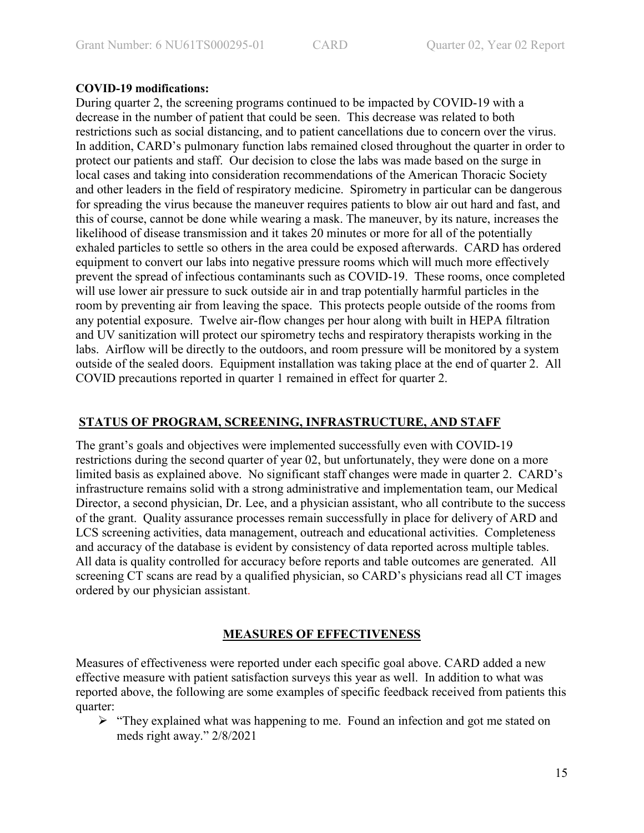## **COVID-19 modifications:**

During quarter 2, the screening programs continued to be impacted by COVID-19 with a decrease in the number of patient that could be seen. This decrease was related to both restrictions such as social distancing, and to patient cancellations due to concern over the virus. In addition, CARD's pulmonary function labs remained closed throughout the quarter in order to protect our patients and staff. Our decision to close the labs was made based on the surge in local cases and taking into consideration recommendations of the American Thoracic Society and other leaders in the field of respiratory medicine. Spirometry in particular can be dangerous for spreading the virus because the maneuver requires patients to blow air out hard and fast, and this of course, cannot be done while wearing a mask. The maneuver, by its nature, increases the likelihood of disease transmission and it takes 20 minutes or more for all of the potentially exhaled particles to settle so others in the area could be exposed afterwards. CARD has ordered equipment to convert our labs into negative pressure rooms which will much more effectively prevent the spread of infectious contaminants such as COVID-19. These rooms, once completed will use lower air pressure to suck outside air in and trap potentially harmful particles in the room by preventing air from leaving the space. This protects people outside of the rooms from any potential exposure. Twelve air-flow changes per hour along with built in HEPA filtration and UV sanitization will protect our spirometry techs and respiratory therapists working in the labs. Airflow will be directly to the outdoors, and room pressure will be monitored by a system outside of the sealed doors. Equipment installation was taking place at the end of quarter 2. All COVID precautions reported in quarter 1 remained in effect for quarter 2.

### **STATUS OF PROGRAM, SCREENING, INFRASTRUCTURE, AND STAFF**

The grant's goals and objectives were implemented successfully even with COVID-19 restrictions during the second quarter of year 02, but unfortunately, they were done on a more limited basis as explained above. No significant staff changes were made in quarter 2. CARD's infrastructure remains solid with a strong administrative and implementation team, our Medical Director, a second physician, Dr. Lee, and a physician assistant, who all contribute to the success of the grant. Quality assurance processes remain successfully in place for delivery of ARD and LCS screening activities, data management, outreach and educational activities. Completeness and accuracy of the database is evident by consistency of data reported across multiple tables. All data is quality controlled for accuracy before reports and table outcomes are generated. All screening CT scans are read by a qualified physician, so CARD's physicians read all CT images ordered by our physician assistant.

# **MEASURES OF EFFECTIVENESS**

Measures of effectiveness were reported under each specific goal above. CARD added a new effective measure with patient satisfaction surveys this year as well. In addition to what was reported above, the following are some examples of specific feedback received from patients this quarter:

 $\triangleright$  "They explained what was happening to me. Found an infection and got me stated on meds right away." 2/8/2021